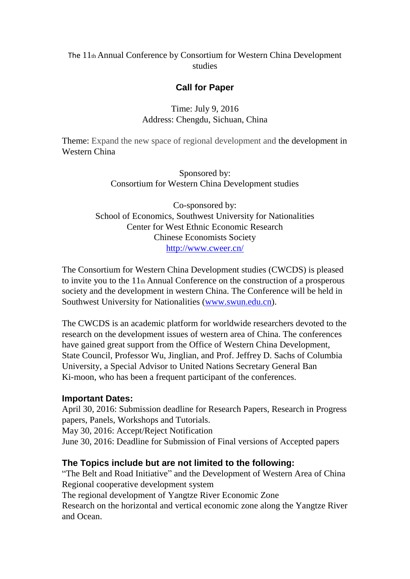## The 11th Annual Conference by Consortium for Western China Development studies

## **Call for Paper**

### Time: July 9, 2016 Address: Chengdu, Sichuan, China

Theme: Expand the new space of regional development and the development in Western China

> Sponsored by: Consortium for Western China Development studies

Co-sponsored by: School of Economics, Southwest University for Nationalities Center for West Ethnic Economic Research Chinese Economists Society <http://www.cweer.cn/>

The Consortium for Western China Development studies (CWCDS) is pleased to invite you to the 11th Annual Conference on the construction of a prosperous society and the development in western China. The Conference will be held in Southwest University for Nationalities [\(www.swun.edu.cn\)](http://www.swun.edu.cn/).

The CWCDS is an academic platform for worldwide researchers devoted to the research on the development issues of western area of China. The conferences have gained great support from the Office of Western China Development, State Council, Professor Wu, Jinglian, and Prof. Jeffrey D. Sachs of Columbia University, a Special Advisor to United Nations Secretary General Ban Ki-moon, who has been a frequent participant of the conferences.

#### **Important Dates:**

April 30, 2016: Submission deadline for Research Papers, Research in Progress papers, Panels, Workshops and Tutorials.

May 30, 2016: Accept/Reject Notification

June 30, 2016: Deadline for Submission of Final versions of Accepted papers

### **The Topics include but are not limited to the following:**

"The Belt and Road Initiative" and the Development of Western Area of China Regional cooperative development system

The regional development of Yangtze River Economic Zone

Research on the horizontal and vertical economic zone along the Yangtze River and Ocean.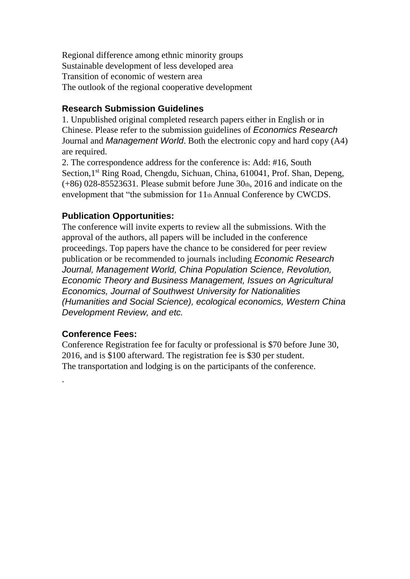Regional difference among ethnic minority groups Sustainable development of less developed area Transition of economic of western area The outlook of the regional cooperative development

# **Research Submission Guidelines**

1. Unpublished original completed research papers either in English or in Chinese. Please refer to the submission guidelines of *Economics Research* Journal and *Management World*. Both the electronic copy and hard copy (A4) are required.

2. The correspondence address for the conference is: Add: #16, South Section, 1<sup>st</sup> Ring Road, Chengdu, Sichuan, China, 610041, Prof. Shan, Depeng,  $(+86)$  028-85523631. Please submit before June 30th, 2016 and indicate on the envelopment that "the submission for 11th Annual Conference by CWCDS.

## **Publication Opportunities:**

The conference will invite experts to review all the submissions. With the approval of the authors, all papers will be included in the conference proceedings. Top papers have the chance to be considered for peer review publication or be recommended to journals including *Economic Research Journal, Management World, China Population Science, Revolution, Economic Theory and Business Management, Issues on Agricultural Economics, Journal of Southwest University for Nationalities (Humanities and Social Science), ecological economics, Western China Development Review, and etc.*

### **Conference Fees:**

.

Conference Registration fee for faculty or professional is \$70 before June 30, 2016, and is \$100 afterward. The registration fee is \$30 per student. The transportation and lodging is on the participants of the conference.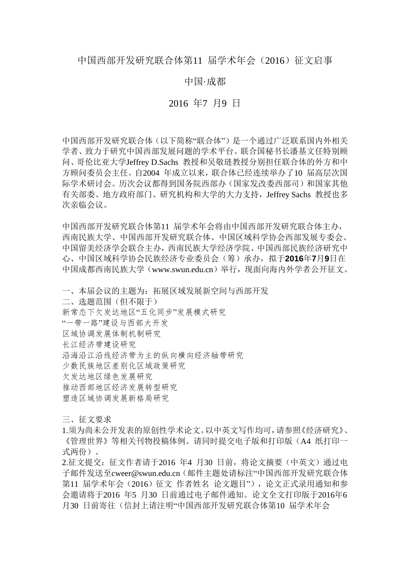#### 中国·成都

#### 2016 年7 月9 日

中国西部开发研究联合体(以下简称"联合体")是一个通过广泛联系国内外相关 学者、致力于研究中国西部发展问题的学术平台。联合国秘书长潘基文任特别顾 问、哥伦比亚大学Jeffrey D.Sachs 教授和吴敬琏教授分别担任联合体的外方和中 方顾问委员会主任。自2004 年成立以来,联合体已经连续举办了10 届高层次国 际学术研讨会。历次会议都得到国务院西部办(国家发改委西部司)和国家其他 有关部委、地方政府部门、研究机构和大学的大力支持,Jeffrey Sachs 教授也多 次亲临会议。

中国西部开发研究联合体第11 届学术年会将由中国西部开发研究联合体主办, 西南民族大学、中国西部开发研究联合体、中国区域科学协会西部发展专委会、 中国留美经济学会联合主办,西南民族大学经济学院、中国西部民族经济研究中 心、中国区域科学协会民族经济专业委员会(筹)承办,拟于**2016**年**7**月**9**日在 中国成都西南民族大学(www.swun.edu.cn)举行,现面向海内外学者公开征文。

一、本届会议的主题为:拓展区域发展新空间与西部开发 二、选题范围(但不限于) 新常态下欠发达地区"五化同步"发展模式研究 "一带一路"建设与西部大开发 区域协调发展体制机制研究 长江经济带建设研究 沿海沿江沿线经济带为主的纵向横向经济轴带研究 少数民族地区差别化区域政策研究 欠发达地区绿色发展研究 推动西部地区经济发展转型研究 塑造区域协调发展新格局研究

三、征文要求

1.须为尚未公开发表的原创性学术论文。以中英文写作均可,请参照《经济研究》、 《管理世界》等相关刊物投稿体例。请同时提交电子版和打印版(A4 纸打印一 式两份)。

2.征文提交:征文作者请于2016 年4 月30 日前,将论文摘要(中英文)通过电 子邮件发送至cweer@swun.edu.cn(邮件主题处请标注"中国西部开发研究联合体 第11 届学术年会(2016)征文 作者姓名 论文题目"),论文正式录用通知和参 会邀请将于2016 年5 月30 日前通过电子邮件通知。论文全文打印版于2016年6 月30 日前寄往(信封上请注明"中国西部开发研究联合体第10 届学术年会